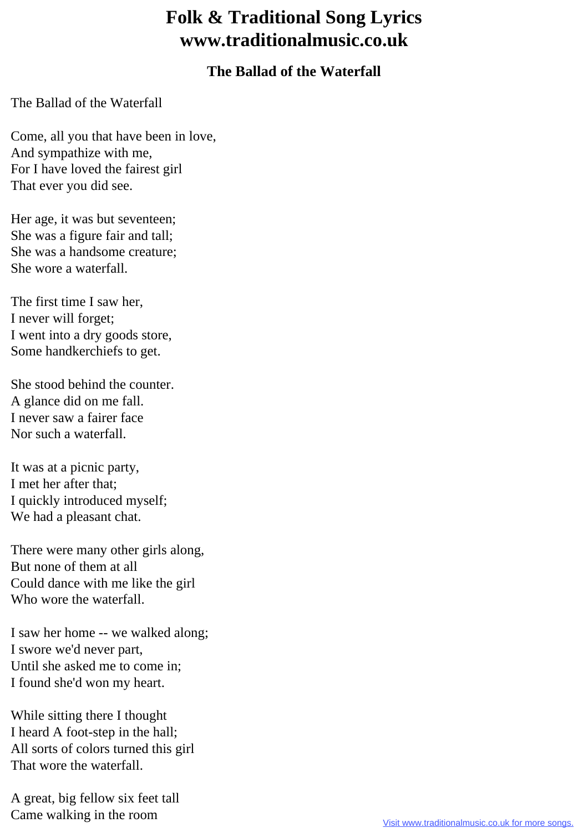## **Folk & Traditional Song Lyrics www.traditionalmusic.co.uk**

## **The Ballad of the Waterfall**

The Ballad of the Waterfall

Come, all you that have been in love, And sympathize with me, For I have loved the fairest girl That ever you did see.

Her age, it was but seventeen; She was a figure fair and tall; She was a handsome creature; She wore a waterfall.

The first time I saw her, I never will forget; I went into a dry goods store, Some handkerchiefs to get.

She stood behind the counter. A glance did on me fall. I never saw a fairer face Nor such a waterfall.

It was at a picnic party, I met her after that; I quickly introduced myself; We had a pleasant chat.

There were many other girls along, But none of them at all Could dance with me like the girl Who wore the waterfall.

I saw her home -- we walked along; I swore we'd never part, Until she asked me to come in; I found she'd won my heart.

While sitting there I thought I heard A foot-step in the hall; All sorts of colors turned this girl That wore the waterfall.

A great, big fellow six feet tall Came walking in the room